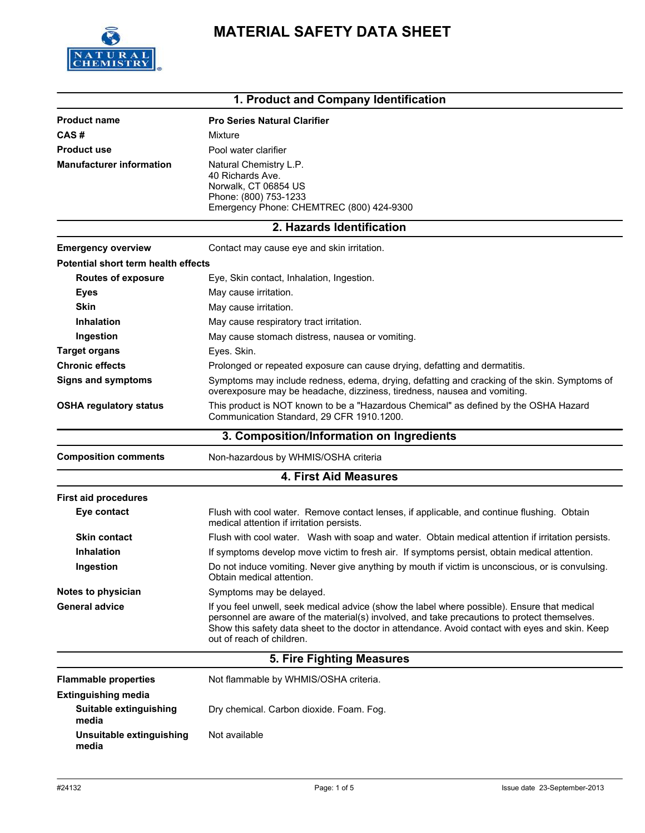

# **MATERIAL SAFETY DATA SHEET**

| 1. Product and Company Identification |                                                                                                                                                                                                                                                                                                                              |  |
|---------------------------------------|------------------------------------------------------------------------------------------------------------------------------------------------------------------------------------------------------------------------------------------------------------------------------------------------------------------------------|--|
| <b>Product name</b>                   | <b>Pro Series Natural Clarifier</b>                                                                                                                                                                                                                                                                                          |  |
| CAS#                                  | Mixture                                                                                                                                                                                                                                                                                                                      |  |
| <b>Product use</b>                    | Pool water clarifier                                                                                                                                                                                                                                                                                                         |  |
| <b>Manufacturer information</b>       | Natural Chemistry L.P.<br>40 Richards Ave.<br>Norwalk, CT 06854 US<br>Phone: (800) 753-1233<br>Emergency Phone: CHEMTREC (800) 424-9300                                                                                                                                                                                      |  |
|                                       | 2. Hazards Identification                                                                                                                                                                                                                                                                                                    |  |
| <b>Emergency overview</b>             | Contact may cause eye and skin irritation.                                                                                                                                                                                                                                                                                   |  |
| Potential short term health effects   |                                                                                                                                                                                                                                                                                                                              |  |
| <b>Routes of exposure</b>             | Eye, Skin contact, Inhalation, Ingestion.                                                                                                                                                                                                                                                                                    |  |
| <b>Eyes</b>                           | May cause irritation.                                                                                                                                                                                                                                                                                                        |  |
| <b>Skin</b>                           | May cause irritation.                                                                                                                                                                                                                                                                                                        |  |
| <b>Inhalation</b>                     | May cause respiratory tract irritation.                                                                                                                                                                                                                                                                                      |  |
| Ingestion                             | May cause stomach distress, nausea or vomiting.                                                                                                                                                                                                                                                                              |  |
| <b>Target organs</b>                  | Eyes. Skin.                                                                                                                                                                                                                                                                                                                  |  |
| <b>Chronic effects</b>                | Prolonged or repeated exposure can cause drying, defatting and dermatitis.                                                                                                                                                                                                                                                   |  |
| <b>Signs and symptoms</b>             | Symptoms may include redness, edema, drying, defatting and cracking of the skin. Symptoms of<br>overexposure may be headache, dizziness, tiredness, nausea and vomiting.                                                                                                                                                     |  |
| <b>OSHA regulatory status</b>         | This product is NOT known to be a "Hazardous Chemical" as defined by the OSHA Hazard<br>Communication Standard, 29 CFR 1910.1200.                                                                                                                                                                                            |  |
|                                       | 3. Composition/Information on Ingredients                                                                                                                                                                                                                                                                                    |  |
| <b>Composition comments</b>           | Non-hazardous by WHMIS/OSHA criteria                                                                                                                                                                                                                                                                                         |  |
|                                       | <b>4. First Aid Measures</b>                                                                                                                                                                                                                                                                                                 |  |
| <b>First aid procedures</b>           |                                                                                                                                                                                                                                                                                                                              |  |
| Eye contact                           | Flush with cool water. Remove contact lenses, if applicable, and continue flushing. Obtain<br>medical attention if irritation persists.                                                                                                                                                                                      |  |
| <b>Skin contact</b>                   | Flush with cool water. Wash with soap and water. Obtain medical attention if irritation persists.                                                                                                                                                                                                                            |  |
| <b>Inhalation</b>                     | If symptoms develop move victim to fresh air. If symptoms persist, obtain medical attention.                                                                                                                                                                                                                                 |  |
| Ingestion                             | Do not induce vomiting. Never give anything by mouth if victim is unconscious, or is convulsing.<br>Obtain medical attention.                                                                                                                                                                                                |  |
| Notes to physician                    | Symptoms may be delayed.                                                                                                                                                                                                                                                                                                     |  |
| <b>General advice</b>                 | If you feel unwell, seek medical advice (show the label where possible). Ensure that medical<br>personnel are aware of the material(s) involved, and take precautions to protect themselves.<br>Show this safety data sheet to the doctor in attendance. Avoid contact with eyes and skin. Keep<br>out of reach of children. |  |
|                                       | 5. Fire Fighting Measures                                                                                                                                                                                                                                                                                                    |  |
| <b>Flammable properties</b>           | Not flammable by WHMIS/OSHA criteria.                                                                                                                                                                                                                                                                                        |  |
| <b>Extinguishing media</b>            |                                                                                                                                                                                                                                                                                                                              |  |
| Suitable extinguishing<br>media       | Dry chemical. Carbon dioxide. Foam. Fog.                                                                                                                                                                                                                                                                                     |  |
| Unsuitable extinguishing<br>media     | Not available                                                                                                                                                                                                                                                                                                                |  |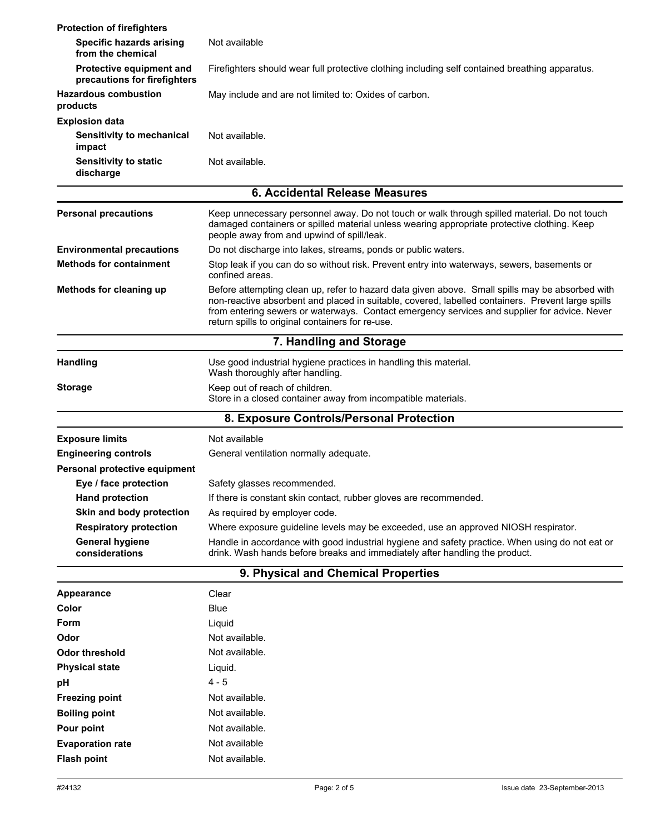| <b>Protection of firefighters</b>                        |                                                                                                                                                                                                                                                                                                                                                          |  |
|----------------------------------------------------------|----------------------------------------------------------------------------------------------------------------------------------------------------------------------------------------------------------------------------------------------------------------------------------------------------------------------------------------------------------|--|
| <b>Specific hazards arising</b><br>from the chemical     | Not available                                                                                                                                                                                                                                                                                                                                            |  |
| Protective equipment and<br>precautions for firefighters | Firefighters should wear full protective clothing including self contained breathing apparatus.                                                                                                                                                                                                                                                          |  |
| <b>Hazardous combustion</b><br>products                  | May include and are not limited to: Oxides of carbon.                                                                                                                                                                                                                                                                                                    |  |
| <b>Explosion data</b>                                    |                                                                                                                                                                                                                                                                                                                                                          |  |
| Sensitivity to mechanical<br>impact                      | Not available.                                                                                                                                                                                                                                                                                                                                           |  |
| <b>Sensitivity to static</b><br>discharge                | Not available.                                                                                                                                                                                                                                                                                                                                           |  |
|                                                          | 6. Accidental Release Measures                                                                                                                                                                                                                                                                                                                           |  |
| <b>Personal precautions</b>                              | Keep unnecessary personnel away. Do not touch or walk through spilled material. Do not touch<br>damaged containers or spilled material unless wearing appropriate protective clothing. Keep<br>people away from and upwind of spill/leak.                                                                                                                |  |
| <b>Environmental precautions</b>                         | Do not discharge into lakes, streams, ponds or public waters.                                                                                                                                                                                                                                                                                            |  |
| <b>Methods for containment</b>                           | Stop leak if you can do so without risk. Prevent entry into waterways, sewers, basements or<br>confined areas.                                                                                                                                                                                                                                           |  |
| Methods for cleaning up                                  | Before attempting clean up, refer to hazard data given above. Small spills may be absorbed with<br>non-reactive absorbent and placed in suitable, covered, labelled containers. Prevent large spills<br>from entering sewers or waterways. Contact emergency services and supplier for advice. Never<br>return spills to original containers for re-use. |  |
|                                                          | 7. Handling and Storage                                                                                                                                                                                                                                                                                                                                  |  |
| <b>Handling</b>                                          | Use good industrial hygiene practices in handling this material.<br>Wash thoroughly after handling.                                                                                                                                                                                                                                                      |  |
| <b>Storage</b>                                           | Keep out of reach of children.<br>Store in a closed container away from incompatible materials.                                                                                                                                                                                                                                                          |  |
|                                                          | 8. Exposure Controls/Personal Protection                                                                                                                                                                                                                                                                                                                 |  |
| <b>Exposure limits</b>                                   | Not available                                                                                                                                                                                                                                                                                                                                            |  |
| <b>Engineering controls</b>                              | General ventilation normally adequate.                                                                                                                                                                                                                                                                                                                   |  |
| Personal protective equipment                            |                                                                                                                                                                                                                                                                                                                                                          |  |
| Eye / face protection                                    | Safety glasses recommended.                                                                                                                                                                                                                                                                                                                              |  |
| <b>Hand protection</b>                                   | If there is constant skin contact, rubber gloves are recommended.                                                                                                                                                                                                                                                                                        |  |
| Skin and body protection                                 | As required by employer code.                                                                                                                                                                                                                                                                                                                            |  |
| <b>Respiratory protection</b>                            | Where exposure guideline levels may be exceeded, use an approved NIOSH respirator.                                                                                                                                                                                                                                                                       |  |
| <b>General hygiene</b>                                   | Handle in accordance with good industrial hygiene and safety practice. When using do not eat or                                                                                                                                                                                                                                                          |  |
| considerations                                           | drink. Wash hands before breaks and immediately after handling the product.                                                                                                                                                                                                                                                                              |  |
| 9. Physical and Chemical Properties                      |                                                                                                                                                                                                                                                                                                                                                          |  |
| <b>Appearance</b>                                        | Clear                                                                                                                                                                                                                                                                                                                                                    |  |
| Color                                                    | <b>Blue</b>                                                                                                                                                                                                                                                                                                                                              |  |
| Form                                                     | Liquid                                                                                                                                                                                                                                                                                                                                                   |  |
| Odor                                                     | Not available.                                                                                                                                                                                                                                                                                                                                           |  |
| <b>Odor threshold</b>                                    | Not available.                                                                                                                                                                                                                                                                                                                                           |  |
| <b>Physical state</b>                                    | Liquid.                                                                                                                                                                                                                                                                                                                                                  |  |
| pH                                                       | $4 - 5$                                                                                                                                                                                                                                                                                                                                                  |  |
| <b>Freezing point</b>                                    | Not available.                                                                                                                                                                                                                                                                                                                                           |  |
| <b>Boiling point</b>                                     | Not available.                                                                                                                                                                                                                                                                                                                                           |  |
| Pour point                                               | Not available.                                                                                                                                                                                                                                                                                                                                           |  |
| <b>Evaporation rate</b>                                  | Not available                                                                                                                                                                                                                                                                                                                                            |  |
| <b>Flash point</b>                                       | Not available.                                                                                                                                                                                                                                                                                                                                           |  |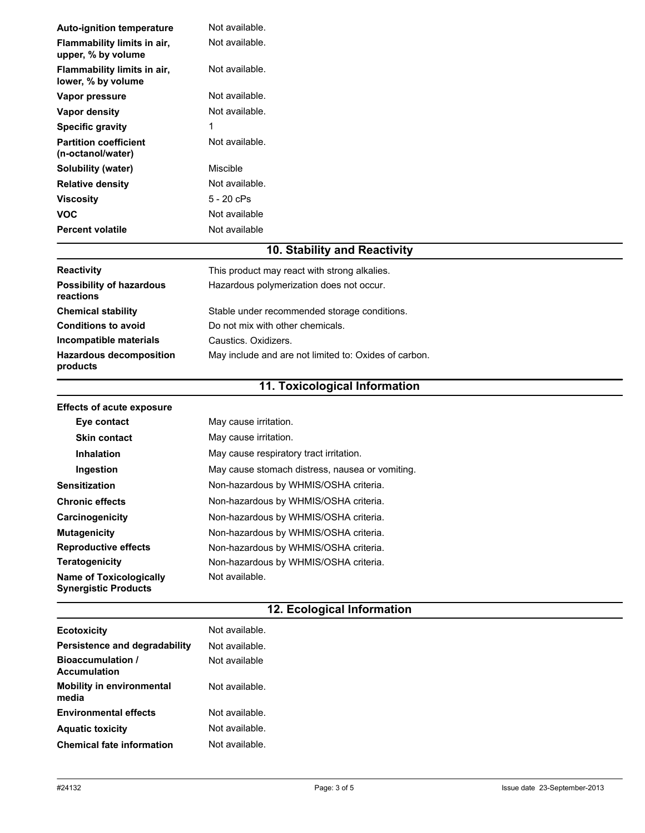| <b>Auto-ignition temperature</b>                                                           | Not available.  |
|--------------------------------------------------------------------------------------------|-----------------|
| Flammability limits in air,<br>upper, % by volume                                          | Not available.  |
| Flammability limits in air,<br>lower, % by volume                                          | Not available.  |
| Vapor pressure                                                                             | Not available.  |
| Vapor density                                                                              | Not available.  |
| <b>Specific gravity</b>                                                                    | 1               |
| <b>Partition coefficient</b><br>(n-octanol/water)                                          | Not available.  |
| <b>Solubility (water)</b>                                                                  | <b>Miscible</b> |
| <b>Relative density</b>                                                                    | Not available.  |
| <b>Viscosity</b>                                                                           | 5 - 20 cPs      |
| <b>VOC</b>                                                                                 | Not available   |
| <b>Percent volatile</b>                                                                    | Not available   |
| $40.045$ $k$ $\frac{111}{11}$ $k$ $k$ $\frac{1}{11}$ $k$ $\frac{1}{11}$ $k$ $\frac{1}{11}$ |                 |

### **10. Stability and Reactivity**

| <b>Reactivity</b>                            | This product may react with strong alkalies.          |
|----------------------------------------------|-------------------------------------------------------|
| <b>Possibility of hazardous</b><br>reactions | Hazardous polymerization does not occur.              |
| <b>Chemical stability</b>                    | Stable under recommended storage conditions.          |
| <b>Conditions to avoid</b>                   | Do not mix with other chemicals.                      |
| Incompatible materials                       | Caustics. Oxidizers.                                  |
| <b>Hazardous decomposition</b><br>products   | May include and are not limited to: Oxides of carbon. |

# **11. Toxicological Information**

| <b>Effects of acute exposure</b>                              |                                                 |
|---------------------------------------------------------------|-------------------------------------------------|
| Eye contact                                                   | May cause irritation.                           |
| <b>Skin contact</b>                                           | May cause irritation.                           |
| <b>Inhalation</b>                                             | May cause respiratory tract irritation.         |
| Ingestion                                                     | May cause stomach distress, nausea or vomiting. |
| <b>Sensitization</b>                                          | Non-hazardous by WHMIS/OSHA criteria.           |
| <b>Chronic effects</b>                                        | Non-hazardous by WHMIS/OSHA criteria.           |
| Carcinogenicity                                               | Non-hazardous by WHMIS/OSHA criteria.           |
| <b>Mutagenicity</b>                                           | Non-hazardous by WHMIS/OSHA criteria.           |
| <b>Reproductive effects</b>                                   | Non-hazardous by WHMIS/OSHA criteria.           |
| <b>Teratogenicity</b>                                         | Non-hazardous by WHMIS/OSHA criteria.           |
| <b>Name of Toxicologically</b><br><b>Synergistic Products</b> | Not available.                                  |

## **12. Ecological Information**

| <b>Ecotoxicity</b>                              | Not available. |
|-------------------------------------------------|----------------|
| Persistence and degradability                   | Not available. |
| <b>Bioaccumulation /</b><br><b>Accumulation</b> | Not available  |
| <b>Mobility in environmental</b><br>media       | Not available. |
| <b>Environmental effects</b>                    | Not available. |
| <b>Aquatic toxicity</b>                         | Not available. |
| <b>Chemical fate information</b>                | Not available. |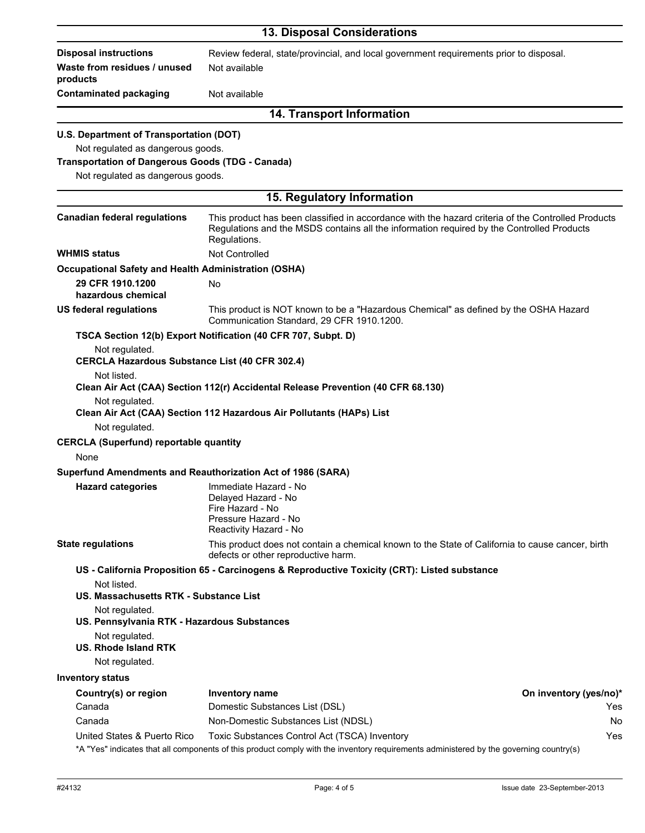|                                                               | <b>13. Disposal Considerations</b>                                                                                                                                                                              |                        |
|---------------------------------------------------------------|-----------------------------------------------------------------------------------------------------------------------------------------------------------------------------------------------------------------|------------------------|
| <b>Disposal instructions</b>                                  | Review federal, state/provincial, and local government requirements prior to disposal.                                                                                                                          |                        |
| Waste from residues / unused<br>products                      | Not available                                                                                                                                                                                                   |                        |
| <b>Contaminated packaging</b>                                 | Not available                                                                                                                                                                                                   |                        |
|                                                               | <b>14. Transport Information</b>                                                                                                                                                                                |                        |
| U.S. Department of Transportation (DOT)                       |                                                                                                                                                                                                                 |                        |
| Not regulated as dangerous goods.                             |                                                                                                                                                                                                                 |                        |
| <b>Transportation of Dangerous Goods (TDG - Canada)</b>       |                                                                                                                                                                                                                 |                        |
| Not regulated as dangerous goods.                             |                                                                                                                                                                                                                 |                        |
|                                                               | 15. Regulatory Information                                                                                                                                                                                      |                        |
| <b>Canadian federal regulations</b>                           | This product has been classified in accordance with the hazard criteria of the Controlled Products<br>Regulations and the MSDS contains all the information required by the Controlled Products<br>Regulations. |                        |
| <b>WHMIS status</b>                                           | Not Controlled                                                                                                                                                                                                  |                        |
| <b>Occupational Safety and Health Administration (OSHA)</b>   |                                                                                                                                                                                                                 |                        |
| 29 CFR 1910.1200<br>hazardous chemical                        | No                                                                                                                                                                                                              |                        |
| <b>US federal regulations</b>                                 | This product is NOT known to be a "Hazardous Chemical" as defined by the OSHA Hazard<br>Communication Standard, 29 CFR 1910.1200.                                                                               |                        |
|                                                               | TSCA Section 12(b) Export Notification (40 CFR 707, Subpt. D)                                                                                                                                                   |                        |
| Not regulated.                                                |                                                                                                                                                                                                                 |                        |
| <b>CERCLA Hazardous Substance List (40 CFR 302.4)</b>         |                                                                                                                                                                                                                 |                        |
| Not listed.                                                   | Clean Air Act (CAA) Section 112(r) Accidental Release Prevention (40 CFR 68.130)                                                                                                                                |                        |
| Not regulated.                                                | Clean Air Act (CAA) Section 112 Hazardous Air Pollutants (HAPs) List                                                                                                                                            |                        |
| Not regulated.                                                |                                                                                                                                                                                                                 |                        |
| <b>CERCLA (Superfund) reportable quantity</b><br>None         |                                                                                                                                                                                                                 |                        |
|                                                               | Superfund Amendments and Reauthorization Act of 1986 (SARA)                                                                                                                                                     |                        |
| <b>Hazard categories</b>                                      | Immediate Hazard - No<br>Delayed Hazard - No<br>Fire Hazard - No<br>Pressure Hazard - No<br>Reactivity Hazard - No                                                                                              |                        |
| <b>State regulations</b>                                      | This product does not contain a chemical known to the State of California to cause cancer, birth<br>defects or other reproductive harm.                                                                         |                        |
|                                                               | US - California Proposition 65 - Carcinogens & Reproductive Toxicity (CRT): Listed substance                                                                                                                    |                        |
| Not listed.<br>US. Massachusetts RTK - Substance List         |                                                                                                                                                                                                                 |                        |
| Not regulated.<br>US. Pennsylvania RTK - Hazardous Substances |                                                                                                                                                                                                                 |                        |
| Not regulated.<br><b>US. Rhode Island RTK</b>                 |                                                                                                                                                                                                                 |                        |
| Not regulated.                                                |                                                                                                                                                                                                                 |                        |
| <b>Inventory status</b>                                       |                                                                                                                                                                                                                 |                        |
| Country(s) or region                                          | Inventory name                                                                                                                                                                                                  | On inventory (yes/no)* |
| Canada                                                        | Domestic Substances List (DSL)                                                                                                                                                                                  | Yes                    |
| Canada                                                        | Non-Domestic Substances List (NDSL)                                                                                                                                                                             | No                     |
| United States & Puerto Rico                                   | Toxic Substances Control Act (TSCA) Inventory<br>*A "Yes" indicates that all components of this product comply with the inventory requirements administered by the governing country(s)                         | Yes                    |